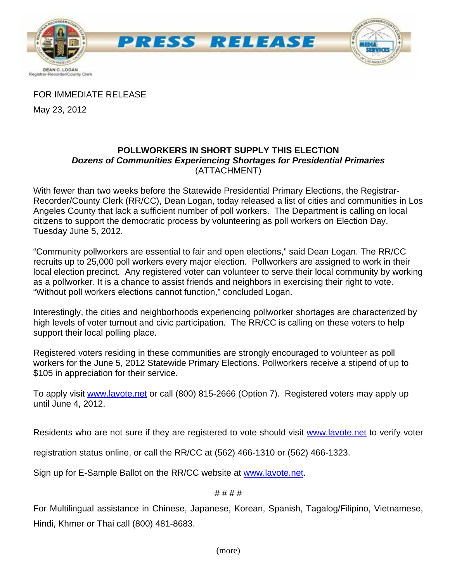

FOR IMMEDIATE RELEASE

May 23, 2012

# **POLLWORKERS IN SHORT SUPPLY THIS ELECTION**  *Dozens of Communities Experiencing Shortages for Presidential Primaries*  (ATTACHMENT)

With fewer than two weeks before the Statewide Presidential Primary Elections, the Registrar-Recorder/County Clerk (RR/CC), Dean Logan, today released a list of cities and communities in Los Angeles County that lack a sufficient number of poll workers. The Department is calling on local citizens to support the democratic process by volunteering as poll workers on Election Day, Tuesday June 5, 2012.

"Community pollworkers are essential to fair and open elections," said Dean Logan. The RR/CC recruits up to 25,000 poll workers every major election. Pollworkers are assigned to work in their local election precinct. Any registered voter can volunteer to serve their local community by working as a pollworker. It is a chance to assist friends and neighbors in exercising their right to vote. "Without poll workers elections cannot function," concluded Logan.

Interestingly, the cities and neighborhoods experiencing pollworker shortages are characterized by high levels of voter turnout and civic participation. The RR/CC is calling on these voters to help support their local polling place.

Registered voters residing in these communities are strongly encouraged to volunteer as poll workers for the June 5, 2012 Statewide Primary Elections. Pollworkers receive a stipend of up to \$105 in appreciation for their service.

To apply visit [www.lavote.net](http://www.lavote.net/) or call (800) 815-2666 (Option 7). Registered voters may apply up until June 4, 2012.

Residents who are not sure if they are registered to vote should visit [www.lavote.net](http://www.lavote.net/) to verify voter

registration status online, or call the RR/CC at (562) 466-1310 or (562) 466-1323.

Sign up for E-Sample Ballot on the RR/CC website at [www.lavote.net.](http://www.lavote.net/)

## # # # #

For Multilingual assistance in Chinese, Japanese, Korean, Spanish, Tagalog/Filipino, Vietnamese, Hindi, Khmer or Thai call (800) 481-8683.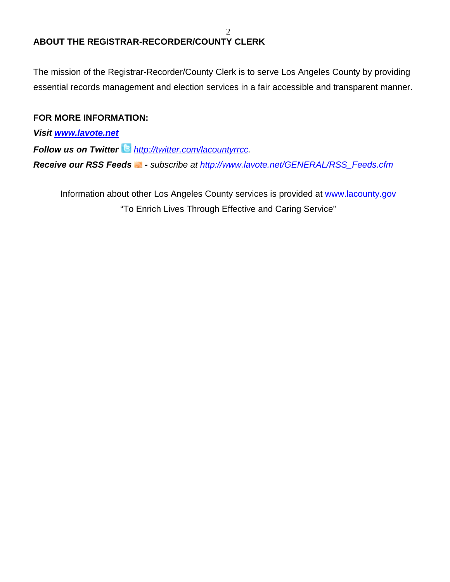# **ABOUT THE REGISTRAR-RECORDER/COUNTY CLERK**

The mission of the Registrar-Recorder/County Clerk is to serve Los Angeles County by providing essential records management and election services in a fair accessible and transparent manner.

# **FOR MORE INFORMATION:**

*Visit [www.lavote.net](http://www.lavote.net/)*

*Follow us on Twitter <http://twitter.com/lacountyrrcc>.* 

*Receive our RSS Feeds - subscribe at [http://www.lavote.net/GENERAL/RSS\\_Feeds.cfm](http://www.lavote.net/GENERAL/RSS_Feeds.cfm)* 

Information about other Los Angeles County services is provided at [www.lacounty.gov](http://www.lacounty.gov/) "To Enrich Lives Through Effective and Caring Service"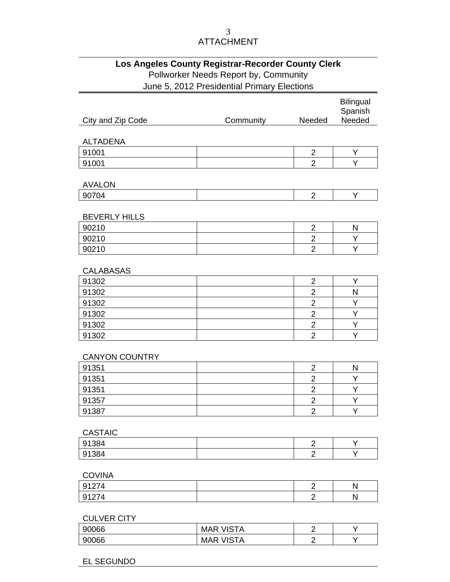### 3 ATTACHMENT

# **Los Angeles County Registrar-Recorder County Clerk**  Pollworker Needs Report by, Community June 5, 2012 Presidential Primary Elections

|                       |           |                  | <b>Bilingual</b><br>Spanish |
|-----------------------|-----------|------------------|-----------------------------|
| City and Zip Code     | Community | Needed           | Needed                      |
|                       |           |                  |                             |
| <b>ALTADENA</b>       |           |                  |                             |
| 91001                 |           | $\overline{2}$   | Υ                           |
| 91001                 |           | $\overline{2}$   | Υ                           |
|                       |           |                  |                             |
| <b>AVALON</b>         |           |                  |                             |
| 90704                 |           | $\overline{2}$   | Υ                           |
| <b>BEVERLY HILLS</b>  |           |                  |                             |
| 90210                 |           | $\overline{2}$   | N                           |
| 90210                 |           | $\overline{2}$   | Υ                           |
| 90210                 |           | $\overline{2}$   | Υ                           |
|                       |           |                  |                             |
| <b>CALABASAS</b>      |           |                  |                             |
| 91302                 |           | $\overline{2}$   | Υ                           |
| 91302                 |           | $\overline{2}$   | N                           |
| 91302                 |           | $\overline{c}$   | Υ                           |
| 91302                 |           | $\overline{2}$   | Υ                           |
| 91302                 |           | $\overline{2}$   | Υ                           |
| 91302                 |           | $\overline{2}$   | Υ                           |
| <b>CANYON COUNTRY</b> |           |                  |                             |
| 91351                 |           | $\overline{2}$   | N                           |
| 91351                 |           | $\overline{2}$   | Υ                           |
| 91351                 |           | $\overline{2}$   | Υ                           |
| 91357                 |           | $\overline{2}$   | Υ                           |
| 91387                 |           | $\overline{2}$   | Υ                           |
|                       |           |                  |                             |
| <b>CASTAIC</b>        |           |                  |                             |
| 91384                 |           | $\boldsymbol{2}$ | Υ                           |
| 91384                 |           | $\overline{2}$   | Y                           |
| <b>COVINA</b>         |           |                  |                             |
| 91274                 |           | $\boldsymbol{2}$ | ${\sf N}$                   |
| 91274                 |           | $\overline{2}$   | ${\sf N}$                   |
|                       |           |                  |                             |

### CULVER CITY

| 90066 | <b>VISTA</b><br><b>MAR</b> |                          |  |
|-------|----------------------------|--------------------------|--|
| 90066 | <b>VISTA</b><br><b>MAR</b> | $\overline{\phantom{0}}$ |  |

### EL SEGUNDO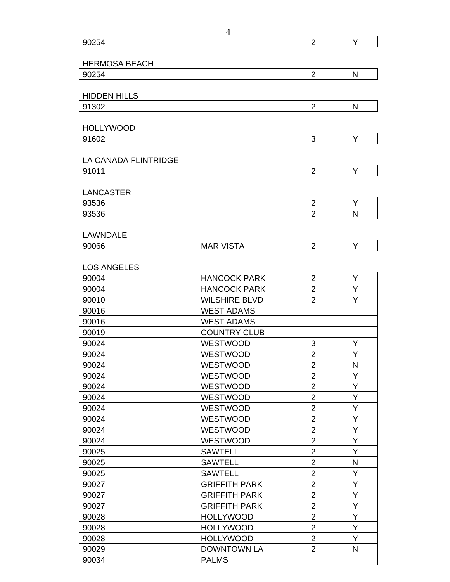|                               |                         | Υ         |
|-------------------------------|-------------------------|-----------|
|                               |                         |           |
| <b>HERMOSA BEACH</b>          |                         |           |
| 90254                         | $\overline{2}$          | N         |
|                               |                         |           |
| <b>HIDDEN HILLS</b>           |                         |           |
| 91302                         | $\overline{2}$          | N         |
|                               |                         |           |
| <b>HOLLYWOOD</b>              |                         |           |
| 91602                         | 3                       | Υ         |
|                               |                         |           |
| LA CANADA FLINTRIDGE          |                         |           |
| 91011                         | $\overline{2}$          | Y         |
|                               |                         |           |
| <b>LANCASTER</b>              |                         |           |
| 93536                         | $\overline{2}$          | Y         |
| 93536                         | $\overline{2}$          | N         |
|                               |                         |           |
| <b>LAWNDALE</b>               |                         |           |
| 90066<br><b>MAR VISTA</b>     | $\overline{2}$          | Υ         |
|                               |                         |           |
| <b>LOS ANGELES</b>            |                         |           |
| 90004<br><b>HANCOCK PARK</b>  | $\overline{2}$          | Υ         |
| <b>HANCOCK PARK</b><br>90004  | $\overline{2}$          | Υ         |
| <b>WILSHIRE BLVD</b><br>90010 | $\overline{2}$          | Υ         |
| <b>WEST ADAMS</b><br>90016    |                         |           |
| 90016<br><b>WEST ADAMS</b>    |                         |           |
| <b>COUNTRY CLUB</b><br>90019  |                         |           |
| 90024<br><b>WESTWOOD</b>      | 3                       | Y         |
| WESTWOOD<br>90024             | $\overline{2}$          | Υ         |
| WESTWOOD<br>90024             | $\overline{\mathbf{c}}$ | ${\sf N}$ |
| WESTWOOD<br>90024             | $\overline{2}$          | Υ         |
| 90024<br><b>WESTWOOD</b>      | $\overline{2}$          | Y         |
| <b>WESTWOOD</b><br>90024      | $\overline{2}$          | Υ         |
| 90024<br><b>WESTWOOD</b>      | $\overline{2}$          | Y         |
| WESTWOOD<br>90024             | $\overline{2}$          | Υ         |
| <b>WESTWOOD</b><br>90024      | $\overline{2}$          | Υ         |
| WESTWOOD<br>90024             | $\overline{2}$          | Y         |
| <b>SAWTELL</b><br>90025       | $\overline{2}$          | Y         |
| 90025<br><b>SAWTELL</b>       | $\overline{2}$          | N         |
| <b>SAWTELL</b><br>90025       | $\overline{2}$          | Υ         |
| <b>GRIFFITH PARK</b><br>90027 | $\overline{2}$          | Y         |
| <b>GRIFFITH PARK</b><br>90027 | $\overline{2}$          | Y         |
| <b>GRIFFITH PARK</b><br>90027 | $\overline{2}$          | Y         |
| <b>HOLLYWOOD</b><br>90028     | $\overline{2}$          | Υ         |
| 90028<br><b>HOLLYWOOD</b>     | $\overline{2}$          | Y         |
| <b>HOLLYWOOD</b><br>90028     | $\overline{2}$          | Υ         |
|                               | $\overline{2}$          | N         |
| <b>DOWNTOWN LA</b><br>90029   |                         |           |

4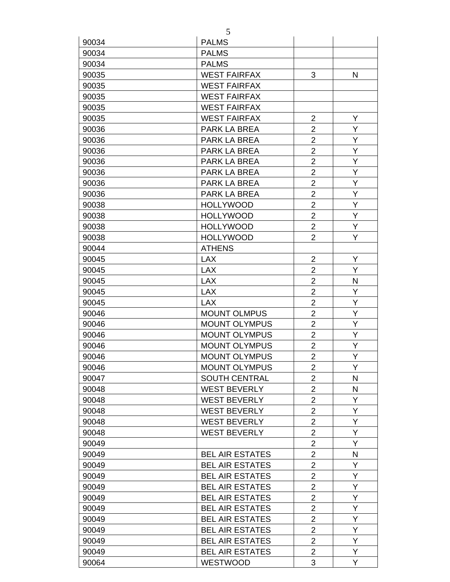|       | 5                      |                |   |
|-------|------------------------|----------------|---|
| 90034 | <b>PALMS</b>           |                |   |
| 90034 | <b>PALMS</b>           |                |   |
| 90034 | <b>PALMS</b>           |                |   |
| 90035 | <b>WEST FAIRFAX</b>    | 3              | N |
| 90035 | <b>WEST FAIRFAX</b>    |                |   |
| 90035 | <b>WEST FAIRFAX</b>    |                |   |
| 90035 | <b>WEST FAIRFAX</b>    |                |   |
| 90035 | <b>WEST FAIRFAX</b>    | $\overline{2}$ | Y |
| 90036 | <b>PARK LA BREA</b>    | $\overline{2}$ | Y |
| 90036 | <b>PARK LA BREA</b>    | $\overline{c}$ | Υ |
| 90036 | <b>PARK LA BREA</b>    | $\overline{2}$ | Y |
| 90036 | <b>PARK LA BREA</b>    | $\overline{2}$ | Υ |
| 90036 | <b>PARK LA BREA</b>    | $\overline{2}$ | Υ |
| 90036 | <b>PARK LA BREA</b>    | $\overline{2}$ | Υ |
| 90036 | <b>PARK LA BREA</b>    | $\overline{2}$ | Y |
| 90038 | <b>HOLLYWOOD</b>       | $\overline{2}$ | Y |
| 90038 | <b>HOLLYWOOD</b>       | $\overline{2}$ | Υ |
| 90038 | <b>HOLLYWOOD</b>       | $\overline{2}$ | Y |
| 90038 | <b>HOLLYWOOD</b>       | $\overline{2}$ | Υ |
| 90044 | <b>ATHENS</b>          |                |   |
| 90045 | <b>LAX</b>             | $\overline{2}$ | Υ |
| 90045 | <b>LAX</b>             | $\overline{2}$ | Y |
| 90045 | <b>LAX</b>             | $\overline{2}$ | N |
| 90045 | <b>LAX</b>             | $\overline{2}$ | Υ |
| 90045 | <b>LAX</b>             | $\overline{2}$ | Υ |
| 90046 | <b>MOUNT OLMPUS</b>    | $\overline{2}$ | Υ |
| 90046 | <b>MOUNT OLYMPUS</b>   | $\overline{2}$ | Y |
| 90046 | <b>MOUNT OLYMPUS</b>   | $\overline{2}$ | Y |
|       |                        | $\overline{2}$ | Y |
| 90046 | <b>MOUNT OLYMPUS</b>   |                | Y |
| 90046 | <b>MOUNT OLYMPUS</b>   | $\overline{2}$ |   |
| 90046 | <b>MOUNT OLYMPUS</b>   | $\overline{2}$ | Y |
| 90047 | <b>SOUTH CENTRAL</b>   | $\overline{2}$ | N |
| 90048 | <b>WEST BEVERLY</b>    | $\overline{2}$ | N |
| 90048 | <b>WEST BEVERLY</b>    | $\overline{2}$ | Y |
| 90048 | <b>WEST BEVERLY</b>    | $\overline{2}$ | Y |
| 90048 | <b>WEST BEVERLY</b>    | $\overline{2}$ | Y |
| 90048 | <b>WEST BEVERLY</b>    | $\overline{2}$ | Υ |
| 90049 |                        | $\overline{2}$ | Y |
| 90049 | <b>BEL AIR ESTATES</b> | $\overline{2}$ | N |
| 90049 | <b>BEL AIR ESTATES</b> | $\overline{c}$ | Y |
| 90049 | <b>BEL AIR ESTATES</b> | $\overline{2}$ | Y |
| 90049 | <b>BEL AIR ESTATES</b> | $\overline{2}$ | Y |
| 90049 | <b>BEL AIR ESTATES</b> | $\overline{2}$ | Y |
| 90049 | <b>BEL AIR ESTATES</b> | $\overline{2}$ | Y |
| 90049 | <b>BEL AIR ESTATES</b> | $\overline{2}$ | Y |
| 90049 | <b>BEL AIR ESTATES</b> | $\overline{2}$ | Y |
| 90049 | <b>BEL AIR ESTATES</b> | $\overline{2}$ | Y |
| 90049 | <b>BEL AIR ESTATES</b> | $\overline{2}$ | Y |
| 90064 | <b>WESTWOOD</b>        | 3              | Y |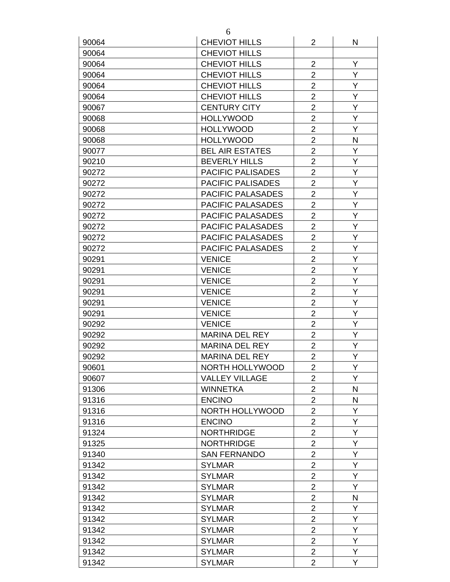| 90064          | <b>CHEVIOT HILLS</b>           | $\overline{2}$ | N            |
|----------------|--------------------------------|----------------|--------------|
| 90064          | <b>CHEVIOT HILLS</b>           |                |              |
| 90064          | <b>CHEVIOT HILLS</b>           | $\overline{2}$ | Y            |
| 90064          | <b>CHEVIOT HILLS</b>           | $\overline{2}$ | Y            |
| 90064          | <b>CHEVIOT HILLS</b>           | $\overline{2}$ | Y            |
| 90064          | <b>CHEVIOT HILLS</b>           | $\overline{2}$ | Y            |
| 90067          | <b>CENTURY CITY</b>            | $\overline{2}$ | Υ            |
| 90068          | <b>HOLLYWOOD</b>               | $\overline{2}$ | Y            |
| 90068          | <b>HOLLYWOOD</b>               | $\overline{2}$ | Y            |
| 90068          | <b>HOLLYWOOD</b>               | $\overline{2}$ | N            |
| 90077          | <b>BEL AIR ESTATES</b>         | $\overline{2}$ | Y            |
| 90210          | <b>BEVERLY HILLS</b>           | $\overline{2}$ | Υ            |
| 90272          | <b>PACIFIC PALISADES</b>       | $\overline{2}$ | Y            |
| 90272          | PACIFIC PALISADES              | $\overline{2}$ | Y            |
| 90272          | PACIFIC PALASADES              | $\overline{2}$ | Y            |
| 90272          | <b>PACIFIC PALASADES</b>       | $\overline{2}$ | Y            |
| 90272          | PACIFIC PALASADES              | $\overline{2}$ | Y            |
| 90272          | <b>PACIFIC PALASADES</b>       | $\overline{2}$ | Υ            |
| 90272          | <b>PACIFIC PALASADES</b>       | $\overline{2}$ | Υ            |
| 90272          | <b>PACIFIC PALASADES</b>       | $\overline{2}$ | Y            |
| 90291          | <b>VENICE</b>                  | $\overline{2}$ | Y            |
| 90291          | <b>VENICE</b>                  | $\overline{2}$ | Y            |
| 90291          | <b>VENICE</b>                  | $\overline{2}$ | Y            |
|                |                                | $\overline{2}$ | Y            |
| 90291          | <b>VENICE</b>                  | $\overline{2}$ | Υ            |
| 90291          | <b>VENICE</b>                  | $\overline{2}$ | Y            |
| 90291          | <b>VENICE</b><br><b>VENICE</b> | $\overline{2}$ | Υ            |
| 90292<br>90292 | <b>MARINA DEL REY</b>          | $\overline{2}$ | Y            |
| 90292          | <b>MARINA DEL REY</b>          | $\overline{2}$ | Y            |
| 90292          | <b>MARINA DEL REY</b>          | $\overline{2}$ | Y            |
|                | NORTH HOLLYWOOD                |                | Y            |
| 90601          |                                | 2              |              |
| 90607          | <b>VALLEY VILLAGE</b>          | $\overline{2}$ | Y            |
| 91306          | <b>WINNETKA</b>                | $\overline{2}$ | $\mathsf{N}$ |
| 91316          | <b>ENCINO</b>                  | $\overline{2}$ | N            |
| 91316          | NORTH HOLLYWOOD                | $\overline{2}$ | Y            |
| 91316          | <b>ENCINO</b>                  | $\overline{2}$ | Y            |
| 91324          | <b>NORTHRIDGE</b>              | $\overline{2}$ | Y            |
| 91325          | <b>NORTHRIDGE</b>              | $\overline{2}$ | Y            |
| 91340          | <b>SAN FERNANDO</b>            | $\overline{2}$ | Y            |
| 91342          | <b>SYLMAR</b>                  | $\overline{c}$ | Y            |
| 91342          | <b>SYLMAR</b>                  | $\overline{2}$ | Y            |
| 91342          | <b>SYLMAR</b>                  | $\overline{2}$ | Υ            |
| 91342          | <b>SYLMAR</b>                  | $\overline{2}$ | N            |
| 91342          | <b>SYLMAR</b>                  | $\overline{2}$ | Y            |
| 91342          | <b>SYLMAR</b>                  | $\overline{2}$ | Y            |
| 91342          | <b>SYLMAR</b>                  | $\overline{2}$ | Y            |
| 91342          | <b>SYLMAR</b>                  | $\overline{2}$ | Y            |
| 91342          | <b>SYLMAR</b>                  | $\overline{2}$ | Y            |
| 91342          | <b>SYLMAR</b>                  | $\overline{2}$ | Y            |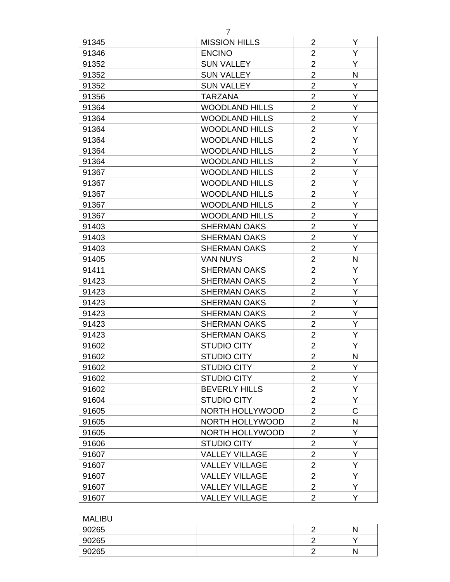| $\overline{2}$<br>Y<br><b>ENCINO</b><br>91346<br>$\overline{2}$<br>Y<br><b>SUN VALLEY</b><br>91352<br>$\overline{2}$<br>91352<br><b>SUN VALLEY</b><br>N<br>$\overline{2}$<br>Y<br>91352<br><b>SUN VALLEY</b><br>$\overline{2}$<br>Υ<br>91356<br><b>TARZANA</b><br>$\overline{2}$<br>Y<br>91364<br><b>WOODLAND HILLS</b><br>$\overline{2}$<br>Y<br>91364<br><b>WOODLAND HILLS</b><br>$\overline{2}$<br><b>WOODLAND HILLS</b><br>Y<br>91364<br>Y<br>$\overline{c}$<br>91364<br><b>WOODLAND HILLS</b><br>$\overline{2}$<br>Y<br>91364<br><b>WOODLAND HILLS</b><br>Y<br>$\overline{2}$<br><b>WOODLAND HILLS</b><br>91364<br>$\overline{2}$<br>Υ<br><b>WOODLAND HILLS</b><br>91367<br>Y<br><b>WOODLAND HILLS</b><br>$\overline{2}$<br>91367<br>$\overline{2}$<br>Y<br><b>WOODLAND HILLS</b><br>91367<br>$\overline{2}$<br>Y<br><b>WOODLAND HILLS</b><br>91367<br>$\overline{2}$<br>Y<br><b>WOODLAND HILLS</b><br>91367<br>$\overline{2}$<br>Y<br>91403<br><b>SHERMAN OAKS</b><br>$\overline{2}$<br>Y<br>91403<br><b>SHERMAN OAKS</b><br>$\overline{2}$<br>Y<br>91403<br><b>SHERMAN OAKS</b><br>$\overline{2}$<br>N<br><b>VAN NUYS</b><br>91405<br>$\overline{2}$<br>Y<br>91411<br><b>SHERMAN OAKS</b><br>$\overline{2}$<br>Y<br>91423<br><b>SHERMAN OAKS</b><br>$\overline{2}$<br>Y<br><b>SHERMAN OAKS</b><br>91423<br>$\overline{2}$<br>Y<br>91423<br><b>SHERMAN OAKS</b><br>$\overline{2}$<br>Y<br>91423<br><b>SHERMAN OAKS</b><br>$\overline{2}$<br>Y<br>91423<br><b>SHERMAN OAKS</b><br>$\overline{2}$<br>Y<br>91423<br><b>SHERMAN OAKS</b><br>$\overline{2}$<br>Y<br>91602<br><b>STUDIO CITY</b><br>$\overline{2}$<br>$\mathsf{N}$<br><b>STUDIO CITY</b><br>91602<br>$\overline{c}$<br>Y.<br>91602<br><b>STUDIO CITY</b><br>$\overline{2}$<br>Y<br>91602<br><b>STUDIO CITY</b><br>$\overline{2}$<br>Y<br><b>BEVERLY HILLS</b><br>91602<br>Υ<br>$\overline{c}$<br>91604<br><b>STUDIO CITY</b><br>$\mathsf C$<br>$\overline{2}$<br>91605<br>NORTH HOLLYWOOD<br>$\mathsf{N}$<br>$\overline{2}$<br>NORTH HOLLYWOOD<br>91605<br>$\overline{2}$<br><b>NORTH HOLLYWOOD</b><br>Υ<br>91605<br>Υ<br><b>STUDIO CITY</b><br>$\overline{2}$<br>91606<br>$\overline{2}$<br>Υ<br><b>VALLEY VILLAGE</b><br>91607<br>Y<br><b>VALLEY VILLAGE</b><br>2<br>91607<br>$\overline{2}$<br>Y<br><b>VALLEY VILLAGE</b><br>91607<br>$\overline{2}$<br>Y<br><b>VALLEY VILLAGE</b><br>91607<br>Y<br>$\overline{2}$<br><b>VALLEY VILLAGE</b><br>91607 | 91345 | <b>MISSION HILLS</b> | $\overline{2}$ | Y |
|-------------------------------------------------------------------------------------------------------------------------------------------------------------------------------------------------------------------------------------------------------------------------------------------------------------------------------------------------------------------------------------------------------------------------------------------------------------------------------------------------------------------------------------------------------------------------------------------------------------------------------------------------------------------------------------------------------------------------------------------------------------------------------------------------------------------------------------------------------------------------------------------------------------------------------------------------------------------------------------------------------------------------------------------------------------------------------------------------------------------------------------------------------------------------------------------------------------------------------------------------------------------------------------------------------------------------------------------------------------------------------------------------------------------------------------------------------------------------------------------------------------------------------------------------------------------------------------------------------------------------------------------------------------------------------------------------------------------------------------------------------------------------------------------------------------------------------------------------------------------------------------------------------------------------------------------------------------------------------------------------------------------------------------------------------------------------------------------------------------------------------------------------------------------------------------------------------------------------------------------------------------------------------------------------------------------------------------------------------------------------------------------------------------------------|-------|----------------------|----------------|---|
|                                                                                                                                                                                                                                                                                                                                                                                                                                                                                                                                                                                                                                                                                                                                                                                                                                                                                                                                                                                                                                                                                                                                                                                                                                                                                                                                                                                                                                                                                                                                                                                                                                                                                                                                                                                                                                                                                                                                                                                                                                                                                                                                                                                                                                                                                                                                                                                                                         |       |                      |                |   |
|                                                                                                                                                                                                                                                                                                                                                                                                                                                                                                                                                                                                                                                                                                                                                                                                                                                                                                                                                                                                                                                                                                                                                                                                                                                                                                                                                                                                                                                                                                                                                                                                                                                                                                                                                                                                                                                                                                                                                                                                                                                                                                                                                                                                                                                                                                                                                                                                                         |       |                      |                |   |
|                                                                                                                                                                                                                                                                                                                                                                                                                                                                                                                                                                                                                                                                                                                                                                                                                                                                                                                                                                                                                                                                                                                                                                                                                                                                                                                                                                                                                                                                                                                                                                                                                                                                                                                                                                                                                                                                                                                                                                                                                                                                                                                                                                                                                                                                                                                                                                                                                         |       |                      |                |   |
|                                                                                                                                                                                                                                                                                                                                                                                                                                                                                                                                                                                                                                                                                                                                                                                                                                                                                                                                                                                                                                                                                                                                                                                                                                                                                                                                                                                                                                                                                                                                                                                                                                                                                                                                                                                                                                                                                                                                                                                                                                                                                                                                                                                                                                                                                                                                                                                                                         |       |                      |                |   |
|                                                                                                                                                                                                                                                                                                                                                                                                                                                                                                                                                                                                                                                                                                                                                                                                                                                                                                                                                                                                                                                                                                                                                                                                                                                                                                                                                                                                                                                                                                                                                                                                                                                                                                                                                                                                                                                                                                                                                                                                                                                                                                                                                                                                                                                                                                                                                                                                                         |       |                      |                |   |
|                                                                                                                                                                                                                                                                                                                                                                                                                                                                                                                                                                                                                                                                                                                                                                                                                                                                                                                                                                                                                                                                                                                                                                                                                                                                                                                                                                                                                                                                                                                                                                                                                                                                                                                                                                                                                                                                                                                                                                                                                                                                                                                                                                                                                                                                                                                                                                                                                         |       |                      |                |   |
|                                                                                                                                                                                                                                                                                                                                                                                                                                                                                                                                                                                                                                                                                                                                                                                                                                                                                                                                                                                                                                                                                                                                                                                                                                                                                                                                                                                                                                                                                                                                                                                                                                                                                                                                                                                                                                                                                                                                                                                                                                                                                                                                                                                                                                                                                                                                                                                                                         |       |                      |                |   |
|                                                                                                                                                                                                                                                                                                                                                                                                                                                                                                                                                                                                                                                                                                                                                                                                                                                                                                                                                                                                                                                                                                                                                                                                                                                                                                                                                                                                                                                                                                                                                                                                                                                                                                                                                                                                                                                                                                                                                                                                                                                                                                                                                                                                                                                                                                                                                                                                                         |       |                      |                |   |
|                                                                                                                                                                                                                                                                                                                                                                                                                                                                                                                                                                                                                                                                                                                                                                                                                                                                                                                                                                                                                                                                                                                                                                                                                                                                                                                                                                                                                                                                                                                                                                                                                                                                                                                                                                                                                                                                                                                                                                                                                                                                                                                                                                                                                                                                                                                                                                                                                         |       |                      |                |   |
|                                                                                                                                                                                                                                                                                                                                                                                                                                                                                                                                                                                                                                                                                                                                                                                                                                                                                                                                                                                                                                                                                                                                                                                                                                                                                                                                                                                                                                                                                                                                                                                                                                                                                                                                                                                                                                                                                                                                                                                                                                                                                                                                                                                                                                                                                                                                                                                                                         |       |                      |                |   |
|                                                                                                                                                                                                                                                                                                                                                                                                                                                                                                                                                                                                                                                                                                                                                                                                                                                                                                                                                                                                                                                                                                                                                                                                                                                                                                                                                                                                                                                                                                                                                                                                                                                                                                                                                                                                                                                                                                                                                                                                                                                                                                                                                                                                                                                                                                                                                                                                                         |       |                      |                |   |
|                                                                                                                                                                                                                                                                                                                                                                                                                                                                                                                                                                                                                                                                                                                                                                                                                                                                                                                                                                                                                                                                                                                                                                                                                                                                                                                                                                                                                                                                                                                                                                                                                                                                                                                                                                                                                                                                                                                                                                                                                                                                                                                                                                                                                                                                                                                                                                                                                         |       |                      |                |   |
|                                                                                                                                                                                                                                                                                                                                                                                                                                                                                                                                                                                                                                                                                                                                                                                                                                                                                                                                                                                                                                                                                                                                                                                                                                                                                                                                                                                                                                                                                                                                                                                                                                                                                                                                                                                                                                                                                                                                                                                                                                                                                                                                                                                                                                                                                                                                                                                                                         |       |                      |                |   |
|                                                                                                                                                                                                                                                                                                                                                                                                                                                                                                                                                                                                                                                                                                                                                                                                                                                                                                                                                                                                                                                                                                                                                                                                                                                                                                                                                                                                                                                                                                                                                                                                                                                                                                                                                                                                                                                                                                                                                                                                                                                                                                                                                                                                                                                                                                                                                                                                                         |       |                      |                |   |
|                                                                                                                                                                                                                                                                                                                                                                                                                                                                                                                                                                                                                                                                                                                                                                                                                                                                                                                                                                                                                                                                                                                                                                                                                                                                                                                                                                                                                                                                                                                                                                                                                                                                                                                                                                                                                                                                                                                                                                                                                                                                                                                                                                                                                                                                                                                                                                                                                         |       |                      |                |   |
|                                                                                                                                                                                                                                                                                                                                                                                                                                                                                                                                                                                                                                                                                                                                                                                                                                                                                                                                                                                                                                                                                                                                                                                                                                                                                                                                                                                                                                                                                                                                                                                                                                                                                                                                                                                                                                                                                                                                                                                                                                                                                                                                                                                                                                                                                                                                                                                                                         |       |                      |                |   |
|                                                                                                                                                                                                                                                                                                                                                                                                                                                                                                                                                                                                                                                                                                                                                                                                                                                                                                                                                                                                                                                                                                                                                                                                                                                                                                                                                                                                                                                                                                                                                                                                                                                                                                                                                                                                                                                                                                                                                                                                                                                                                                                                                                                                                                                                                                                                                                                                                         |       |                      |                |   |
|                                                                                                                                                                                                                                                                                                                                                                                                                                                                                                                                                                                                                                                                                                                                                                                                                                                                                                                                                                                                                                                                                                                                                                                                                                                                                                                                                                                                                                                                                                                                                                                                                                                                                                                                                                                                                                                                                                                                                                                                                                                                                                                                                                                                                                                                                                                                                                                                                         |       |                      |                |   |
|                                                                                                                                                                                                                                                                                                                                                                                                                                                                                                                                                                                                                                                                                                                                                                                                                                                                                                                                                                                                                                                                                                                                                                                                                                                                                                                                                                                                                                                                                                                                                                                                                                                                                                                                                                                                                                                                                                                                                                                                                                                                                                                                                                                                                                                                                                                                                                                                                         |       |                      |                |   |
|                                                                                                                                                                                                                                                                                                                                                                                                                                                                                                                                                                                                                                                                                                                                                                                                                                                                                                                                                                                                                                                                                                                                                                                                                                                                                                                                                                                                                                                                                                                                                                                                                                                                                                                                                                                                                                                                                                                                                                                                                                                                                                                                                                                                                                                                                                                                                                                                                         |       |                      |                |   |
|                                                                                                                                                                                                                                                                                                                                                                                                                                                                                                                                                                                                                                                                                                                                                                                                                                                                                                                                                                                                                                                                                                                                                                                                                                                                                                                                                                                                                                                                                                                                                                                                                                                                                                                                                                                                                                                                                                                                                                                                                                                                                                                                                                                                                                                                                                                                                                                                                         |       |                      |                |   |
|                                                                                                                                                                                                                                                                                                                                                                                                                                                                                                                                                                                                                                                                                                                                                                                                                                                                                                                                                                                                                                                                                                                                                                                                                                                                                                                                                                                                                                                                                                                                                                                                                                                                                                                                                                                                                                                                                                                                                                                                                                                                                                                                                                                                                                                                                                                                                                                                                         |       |                      |                |   |
|                                                                                                                                                                                                                                                                                                                                                                                                                                                                                                                                                                                                                                                                                                                                                                                                                                                                                                                                                                                                                                                                                                                                                                                                                                                                                                                                                                                                                                                                                                                                                                                                                                                                                                                                                                                                                                                                                                                                                                                                                                                                                                                                                                                                                                                                                                                                                                                                                         |       |                      |                |   |
|                                                                                                                                                                                                                                                                                                                                                                                                                                                                                                                                                                                                                                                                                                                                                                                                                                                                                                                                                                                                                                                                                                                                                                                                                                                                                                                                                                                                                                                                                                                                                                                                                                                                                                                                                                                                                                                                                                                                                                                                                                                                                                                                                                                                                                                                                                                                                                                                                         |       |                      |                |   |
|                                                                                                                                                                                                                                                                                                                                                                                                                                                                                                                                                                                                                                                                                                                                                                                                                                                                                                                                                                                                                                                                                                                                                                                                                                                                                                                                                                                                                                                                                                                                                                                                                                                                                                                                                                                                                                                                                                                                                                                                                                                                                                                                                                                                                                                                                                                                                                                                                         |       |                      |                |   |
|                                                                                                                                                                                                                                                                                                                                                                                                                                                                                                                                                                                                                                                                                                                                                                                                                                                                                                                                                                                                                                                                                                                                                                                                                                                                                                                                                                                                                                                                                                                                                                                                                                                                                                                                                                                                                                                                                                                                                                                                                                                                                                                                                                                                                                                                                                                                                                                                                         |       |                      |                |   |
|                                                                                                                                                                                                                                                                                                                                                                                                                                                                                                                                                                                                                                                                                                                                                                                                                                                                                                                                                                                                                                                                                                                                                                                                                                                                                                                                                                                                                                                                                                                                                                                                                                                                                                                                                                                                                                                                                                                                                                                                                                                                                                                                                                                                                                                                                                                                                                                                                         |       |                      |                |   |
|                                                                                                                                                                                                                                                                                                                                                                                                                                                                                                                                                                                                                                                                                                                                                                                                                                                                                                                                                                                                                                                                                                                                                                                                                                                                                                                                                                                                                                                                                                                                                                                                                                                                                                                                                                                                                                                                                                                                                                                                                                                                                                                                                                                                                                                                                                                                                                                                                         |       |                      |                |   |
|                                                                                                                                                                                                                                                                                                                                                                                                                                                                                                                                                                                                                                                                                                                                                                                                                                                                                                                                                                                                                                                                                                                                                                                                                                                                                                                                                                                                                                                                                                                                                                                                                                                                                                                                                                                                                                                                                                                                                                                                                                                                                                                                                                                                                                                                                                                                                                                                                         |       |                      |                |   |
|                                                                                                                                                                                                                                                                                                                                                                                                                                                                                                                                                                                                                                                                                                                                                                                                                                                                                                                                                                                                                                                                                                                                                                                                                                                                                                                                                                                                                                                                                                                                                                                                                                                                                                                                                                                                                                                                                                                                                                                                                                                                                                                                                                                                                                                                                                                                                                                                                         |       |                      |                |   |
|                                                                                                                                                                                                                                                                                                                                                                                                                                                                                                                                                                                                                                                                                                                                                                                                                                                                                                                                                                                                                                                                                                                                                                                                                                                                                                                                                                                                                                                                                                                                                                                                                                                                                                                                                                                                                                                                                                                                                                                                                                                                                                                                                                                                                                                                                                                                                                                                                         |       |                      |                |   |
|                                                                                                                                                                                                                                                                                                                                                                                                                                                                                                                                                                                                                                                                                                                                                                                                                                                                                                                                                                                                                                                                                                                                                                                                                                                                                                                                                                                                                                                                                                                                                                                                                                                                                                                                                                                                                                                                                                                                                                                                                                                                                                                                                                                                                                                                                                                                                                                                                         |       |                      |                |   |
|                                                                                                                                                                                                                                                                                                                                                                                                                                                                                                                                                                                                                                                                                                                                                                                                                                                                                                                                                                                                                                                                                                                                                                                                                                                                                                                                                                                                                                                                                                                                                                                                                                                                                                                                                                                                                                                                                                                                                                                                                                                                                                                                                                                                                                                                                                                                                                                                                         |       |                      |                |   |
|                                                                                                                                                                                                                                                                                                                                                                                                                                                                                                                                                                                                                                                                                                                                                                                                                                                                                                                                                                                                                                                                                                                                                                                                                                                                                                                                                                                                                                                                                                                                                                                                                                                                                                                                                                                                                                                                                                                                                                                                                                                                                                                                                                                                                                                                                                                                                                                                                         |       |                      |                |   |
|                                                                                                                                                                                                                                                                                                                                                                                                                                                                                                                                                                                                                                                                                                                                                                                                                                                                                                                                                                                                                                                                                                                                                                                                                                                                                                                                                                                                                                                                                                                                                                                                                                                                                                                                                                                                                                                                                                                                                                                                                                                                                                                                                                                                                                                                                                                                                                                                                         |       |                      |                |   |
|                                                                                                                                                                                                                                                                                                                                                                                                                                                                                                                                                                                                                                                                                                                                                                                                                                                                                                                                                                                                                                                                                                                                                                                                                                                                                                                                                                                                                                                                                                                                                                                                                                                                                                                                                                                                                                                                                                                                                                                                                                                                                                                                                                                                                                                                                                                                                                                                                         |       |                      |                |   |
|                                                                                                                                                                                                                                                                                                                                                                                                                                                                                                                                                                                                                                                                                                                                                                                                                                                                                                                                                                                                                                                                                                                                                                                                                                                                                                                                                                                                                                                                                                                                                                                                                                                                                                                                                                                                                                                                                                                                                                                                                                                                                                                                                                                                                                                                                                                                                                                                                         |       |                      |                |   |
|                                                                                                                                                                                                                                                                                                                                                                                                                                                                                                                                                                                                                                                                                                                                                                                                                                                                                                                                                                                                                                                                                                                                                                                                                                                                                                                                                                                                                                                                                                                                                                                                                                                                                                                                                                                                                                                                                                                                                                                                                                                                                                                                                                                                                                                                                                                                                                                                                         |       |                      |                |   |
|                                                                                                                                                                                                                                                                                                                                                                                                                                                                                                                                                                                                                                                                                                                                                                                                                                                                                                                                                                                                                                                                                                                                                                                                                                                                                                                                                                                                                                                                                                                                                                                                                                                                                                                                                                                                                                                                                                                                                                                                                                                                                                                                                                                                                                                                                                                                                                                                                         |       |                      |                |   |
|                                                                                                                                                                                                                                                                                                                                                                                                                                                                                                                                                                                                                                                                                                                                                                                                                                                                                                                                                                                                                                                                                                                                                                                                                                                                                                                                                                                                                                                                                                                                                                                                                                                                                                                                                                                                                                                                                                                                                                                                                                                                                                                                                                                                                                                                                                                                                                                                                         |       |                      |                |   |
|                                                                                                                                                                                                                                                                                                                                                                                                                                                                                                                                                                                                                                                                                                                                                                                                                                                                                                                                                                                                                                                                                                                                                                                                                                                                                                                                                                                                                                                                                                                                                                                                                                                                                                                                                                                                                                                                                                                                                                                                                                                                                                                                                                                                                                                                                                                                                                                                                         |       |                      |                |   |
|                                                                                                                                                                                                                                                                                                                                                                                                                                                                                                                                                                                                                                                                                                                                                                                                                                                                                                                                                                                                                                                                                                                                                                                                                                                                                                                                                                                                                                                                                                                                                                                                                                                                                                                                                                                                                                                                                                                                                                                                                                                                                                                                                                                                                                                                                                                                                                                                                         |       |                      |                |   |

| <b>MALIBU</b> |   |   |
|---------------|---|---|
| 90265         | ╭ | N |
| 90265         | ╭ |   |
| 90265         | ╭ |   |

7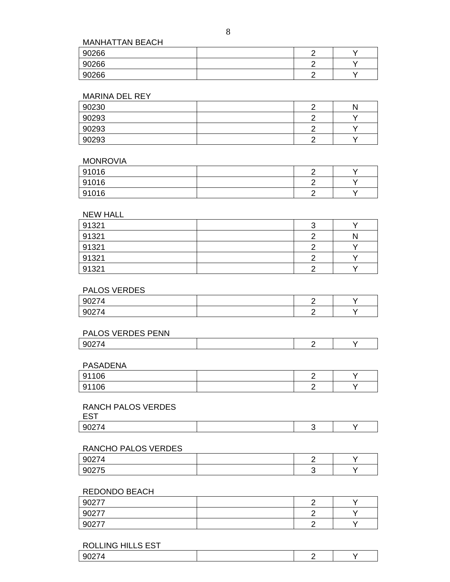MANHATTAN BEACH

| 90266 | ╭ |  |
|-------|---|--|
| 90266 | ╭ |  |
| 90266 | - |  |

#### MARINA DEL REY

| 90230 | ╭ | Λ |
|-------|---|---|
| 90293 | ╭ |   |
| 90293 |   |   |
| 90293 | ╭ |   |

#### MONROVIA

| 91016 | ⌒ |  |
|-------|---|--|
| 91016 | ⌒ |  |
| 91016 | ◠ |  |

### NEW HALL

| 91321 |  |
|-------|--|
| 91321 |  |
| 91321 |  |
| 91321 |  |
| 91321 |  |

### PALOS VERDES

| 90274<br>74<br><u> JULI</u>                                   | -<br>- |  |
|---------------------------------------------------------------|--------|--|
| $\sim$ $\sim$ $\sim$ $\sim$<br><b>Q</b><br>74<br><u>JUZI.</u> |        |  |

| PALOS VERDES PENN |  |  |
|-------------------|--|--|
| u                 |  |  |

### PASADENA

| 91106<br>ັ | - |  |
|------------|---|--|
| 91106<br>ັ | - |  |

### RANCH PALOS VERDES

### RANCHO PALOS VERDES

| u.              |  |  |
|-----------------|--|--|
| $\sim$ $-$<br>u |  |  |

### REDONDO BEACH

| 90277 | - |  |
|-------|---|--|
| 90277 |   |  |
| 90277 |   |  |

### ROLLING HILLS EST

|--|